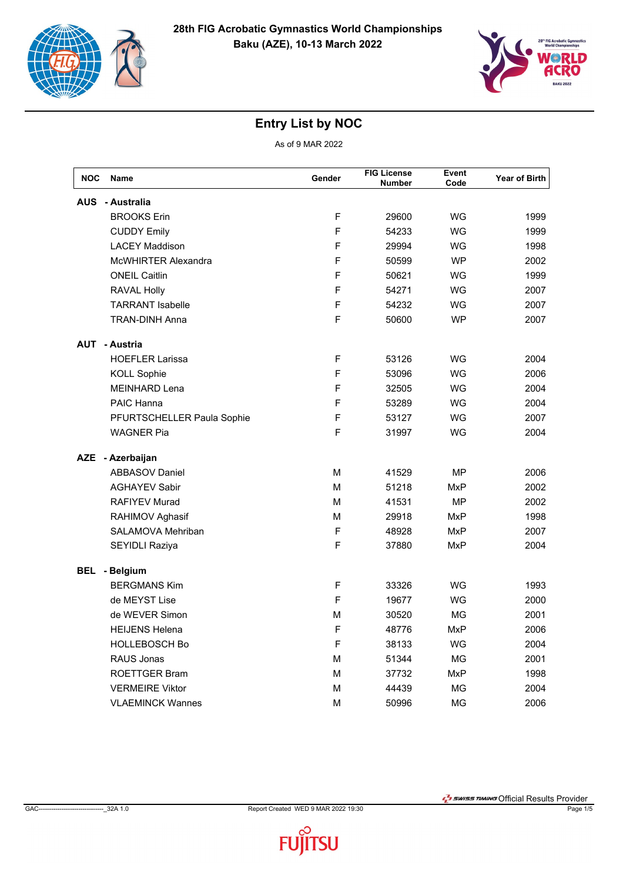



| <b>NOC</b> | Name                       | Gender      | <b>FIG License</b><br><b>Number</b> | Event<br>Code | Year of Birth |
|------------|----------------------------|-------------|-------------------------------------|---------------|---------------|
| <b>AUS</b> | - Australia                |             |                                     |               |               |
|            | <b>BROOKS Erin</b>         | F           | 29600                               | WG            | 1999          |
|            | <b>CUDDY Emily</b>         | F           | 54233                               | WG            | 1999          |
|            | <b>LACEY Maddison</b>      | F           | 29994                               | WG            | 1998          |
|            | <b>McWHIRTER Alexandra</b> | F           | 50599                               | <b>WP</b>     | 2002          |
|            | <b>ONEIL Caitlin</b>       | F           | 50621                               | WG            | 1999          |
|            | <b>RAVAL Holly</b>         | F           | 54271                               | WG            | 2007          |
|            | <b>TARRANT Isabelle</b>    | F           | 54232                               | WG            | 2007          |
|            | <b>TRAN-DINH Anna</b>      | F           | 50600                               | <b>WP</b>     | 2007          |
|            | <b>AUT - Austria</b>       |             |                                     |               |               |
|            | <b>HOEFLER Larissa</b>     | F           | 53126                               | WG            | 2004          |
|            | <b>KOLL Sophie</b>         | F           | 53096                               | WG            | 2006          |
|            | <b>MEINHARD Lena</b>       | F           | 32505                               | WG            | 2004          |
|            | PAIC Hanna                 | F           | 53289                               | WG            | 2004          |
|            | PFURTSCHELLER Paula Sophie | F           | 53127                               | WG            | 2007          |
|            | <b>WAGNER Pia</b>          | F           | 31997                               | WG            | 2004          |
|            | AZE - Azerbaijan           |             |                                     |               |               |
|            | <b>ABBASOV Daniel</b>      | М           | 41529                               | MΡ            | 2006          |
|            | <b>AGHAYEV Sabir</b>       | M           | 51218                               | MxP           | 2002          |
|            | <b>RAFIYEV Murad</b>       | M           | 41531                               | <b>MP</b>     | 2002          |
|            | RAHIMOV Aghasif            | м           | 29918                               | MxP           | 1998          |
|            | SALAMOVA Mehriban          | F           | 48928                               | <b>MxP</b>    | 2007          |
|            | SEYIDLI Raziya             | F           | 37880                               | MxP           | 2004          |
| BEL        | - Belgium                  |             |                                     |               |               |
|            | <b>BERGMANS Kim</b>        | $\mathsf F$ | 33326                               | WG            | 1993          |
|            | de MEYST Lise              | F           | 19677                               | WG            | 2000          |
|            | de WEVER Simon             | М           | 30520                               | ΜG            | 2001          |
|            | <b>HEIJENS Helena</b>      | F           | 48776                               | <b>MxP</b>    | 2006          |
|            | <b>HOLLEBOSCH Bo</b>       | F           | 38133                               | WG            | 2004          |
|            | <b>RAUS Jonas</b>          | М           | 51344                               | МG            | 2001          |
|            | <b>ROETTGER Bram</b>       | M           | 37732                               | MxP           | 1998          |
|            | <b>VERMEIRE Viktor</b>     | M           | 44439                               | MG            | 2004          |
|            | <b>VLAEMINCK Wannes</b>    | м           | 50996                               | MG            | 2006          |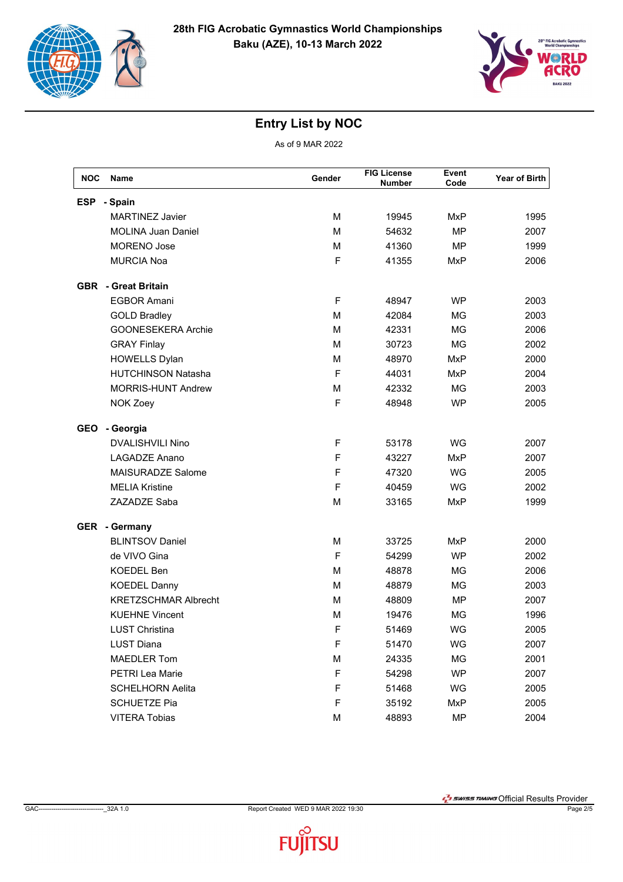



| <b>NOC</b> | <b>Name</b>                 | Gender       | <b>FIG License</b><br><b>Number</b> | Event<br>Code | Year of Birth |
|------------|-----------------------------|--------------|-------------------------------------|---------------|---------------|
| <b>ESP</b> | - Spain                     |              |                                     |               |               |
|            | <b>MARTINEZ Javier</b>      | M            | 19945                               | <b>MxP</b>    | 1995          |
|            | <b>MOLINA Juan Daniel</b>   | м            | 54632                               | <b>MP</b>     | 2007          |
|            | <b>MORENO Jose</b>          | м            | 41360                               | <b>MP</b>     | 1999          |
|            | <b>MURCIA Noa</b>           | F            | 41355                               | <b>MxP</b>    | 2006          |
|            | <b>GBR</b> - Great Britain  |              |                                     |               |               |
|            | <b>EGBOR Amani</b>          | F            | 48947                               | <b>WP</b>     | 2003          |
|            | <b>GOLD Bradley</b>         | M            | 42084                               | <b>MG</b>     | 2003          |
|            | GOONESEKERA Archie          | м            | 42331                               | <b>MG</b>     | 2006          |
|            | <b>GRAY Finlay</b>          | M            | 30723                               | <b>MG</b>     | 2002          |
|            | <b>HOWELLS Dylan</b>        | м            | 48970                               | <b>MxP</b>    | 2000          |
|            | <b>HUTCHINSON Natasha</b>   | F            | 44031                               | <b>MxP</b>    | 2004          |
|            | <b>MORRIS-HUNT Andrew</b>   | M            | 42332                               | MG            | 2003          |
|            | NOK Zoey                    | F            | 48948                               | <b>WP</b>     | 2005          |
| <b>GEO</b> | - Georgia                   |              |                                     |               |               |
|            | <b>DVALISHVILI Nino</b>     | $\mathsf{F}$ | 53178                               | WG            | 2007          |
|            | LAGADZE Anano               | F            | 43227                               | <b>MxP</b>    | 2007          |
|            | <b>MAISURADZE Salome</b>    | F            | 47320                               | WG            | 2005          |
|            | <b>MELIA Kristine</b>       | F            | 40459                               | <b>WG</b>     | 2002          |
|            | ZAZADZE Saba                | M            | 33165                               | <b>MxP</b>    | 1999          |
|            | <b>GER</b> - Germany        |              |                                     |               |               |
|            | <b>BLINTSOV Daniel</b>      | м            | 33725                               | MxP           | 2000          |
|            | de VIVO Gina                | F            | 54299                               | <b>WP</b>     | 2002          |
|            | <b>KOEDEL Ben</b>           | M            | 48878                               | MG            | 2006          |
|            | <b>KOEDEL Danny</b>         | м            | 48879                               | MG            | 2003          |
|            | <b>KRETZSCHMAR Albrecht</b> | м            | 48809                               | <b>MP</b>     | 2007          |
|            | <b>KUEHNE Vincent</b>       | м            | 19476                               | MG            | 1996          |
|            | <b>LUST Christina</b>       | F            | 51469                               | WG            | 2005          |
|            | <b>LUST Diana</b>           | F            | 51470                               | WG            | 2007          |
|            | <b>MAEDLER Tom</b>          | М            | 24335                               | MG            | 2001          |
|            | PETRI Lea Marie             | F            | 54298                               | <b>WP</b>     | 2007          |
|            | <b>SCHELHORN Aelita</b>     | F            | 51468                               | WG            | 2005          |
|            | <b>SCHUETZE Pia</b>         | F            | 35192                               | MxP           | 2005          |
|            | <b>VITERA Tobias</b>        | М            | 48893                               | MP            | 2004          |

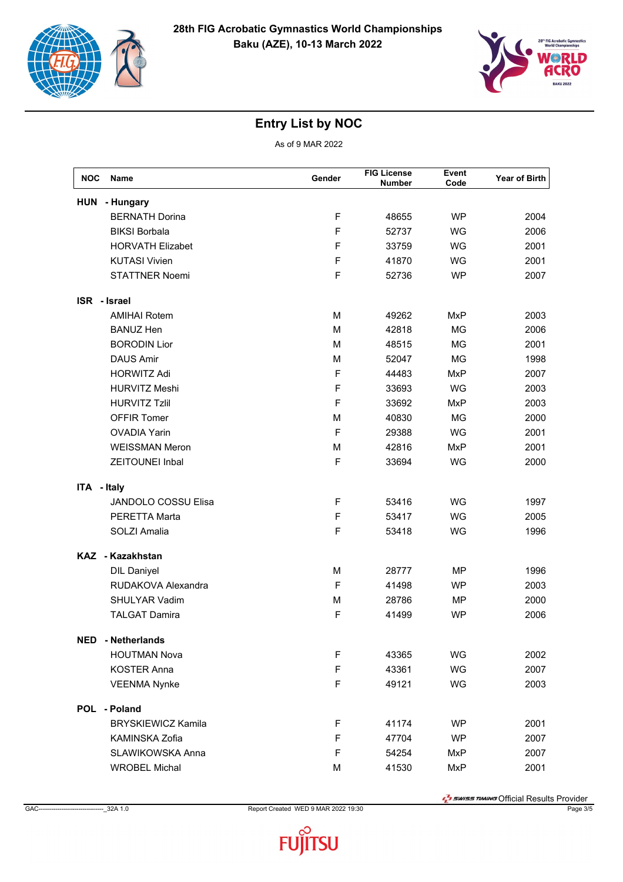



As of 9 MAR 2022

| <b>NOC</b>   | <b>Name</b>                | Gender | <b>FIG License</b><br><b>Number</b> | Event<br>Code | Year of Birth |
|--------------|----------------------------|--------|-------------------------------------|---------------|---------------|
| <b>HUN</b>   | - Hungary                  |        |                                     |               |               |
|              | <b>BERNATH Dorina</b>      | F      | 48655                               | <b>WP</b>     | 2004          |
|              | <b>BIKSI Borbala</b>       | F      | 52737                               | WG            | 2006          |
|              | <b>HORVATH Elizabet</b>    | F      | 33759                               | WG            | 2001          |
|              | <b>KUTASI Vivien</b>       | F      | 41870                               | WG            | 2001          |
|              | <b>STATTNER Noemi</b>      | F      | 52736                               | <b>WP</b>     | 2007          |
| ISR - Israel |                            |        |                                     |               |               |
|              | <b>AMIHAI Rotem</b>        | M      | 49262                               | <b>MxP</b>    | 2003          |
|              | <b>BANUZ Hen</b>           | M      | 42818                               | <b>MG</b>     | 2006          |
|              | <b>BORODIN Lior</b>        | M      | 48515                               | <b>MG</b>     | 2001          |
|              | <b>DAUS Amir</b>           | M      | 52047                               | <b>MG</b>     | 1998          |
|              | <b>HORWITZ Adi</b>         | F      | 44483                               | <b>MxP</b>    | 2007          |
|              | <b>HURVITZ Meshi</b>       | F      | 33693                               | WG            | 2003          |
|              | <b>HURVITZ Tzlil</b>       | F      | 33692                               | <b>MxP</b>    | 2003          |
|              | <b>OFFIR Tomer</b>         | M      | 40830                               | <b>MG</b>     | 2000          |
|              | <b>OVADIA Yarin</b>        | F      | 29388                               | WG            | 2001          |
|              | <b>WEISSMAN Meron</b>      | M      | 42816                               | <b>MxP</b>    | 2001          |
|              | <b>ZEITOUNEI Inbal</b>     | F      | 33694                               | WG            | 2000          |
| ITA - Italy  |                            |        |                                     |               |               |
|              | <b>JANDOLO COSSU Elisa</b> | F      | 53416                               | WG            | 1997          |
|              | <b>PERETTA Marta</b>       | F      | 53417                               | WG            | 2005          |
|              | SOLZI Amalia               | F      | 53418                               | WG            | 1996          |
|              | KAZ - Kazakhstan           |        |                                     |               |               |
|              | <b>DIL Daniyel</b>         | M      | 28777                               | MP            | 1996          |
|              | RUDAKOVA Alexandra         | F      | 41498                               | <b>WP</b>     | 2003          |
|              | SHULYAR Vadim              | M      | 28786                               | MP            | 2000          |
|              | <b>TALGAT Damira</b>       | F      | 41499                               | <b>WP</b>     | 2006          |
|              | <b>NED</b> - Netherlands   |        |                                     |               |               |
|              | <b>HOUTMAN Nova</b>        | F      | 43365                               | WG            | 2002          |
|              | <b>KOSTER Anna</b>         | F      | 43361                               | WG            | 2007          |
|              | <b>VEENMA Nynke</b>        | F      | 49121                               | WG            | 2003          |
|              | POL - Poland               |        |                                     |               |               |
|              | <b>BRYSKIEWICZ Kamila</b>  | F      | 41174                               | <b>WP</b>     | 2001          |
|              | KAMINSKA Zofia             | F      | 47704                               | <b>WP</b>     | 2007          |
|              | SLAWIKOWSKA Anna           | F      | 54254                               | MxP           | 2007          |
|              | <b>WROBEL Michal</b>       | M      | 41530                               | <b>MxP</b>    | 2001          |

**T** swiss TIMING Official Results Provider

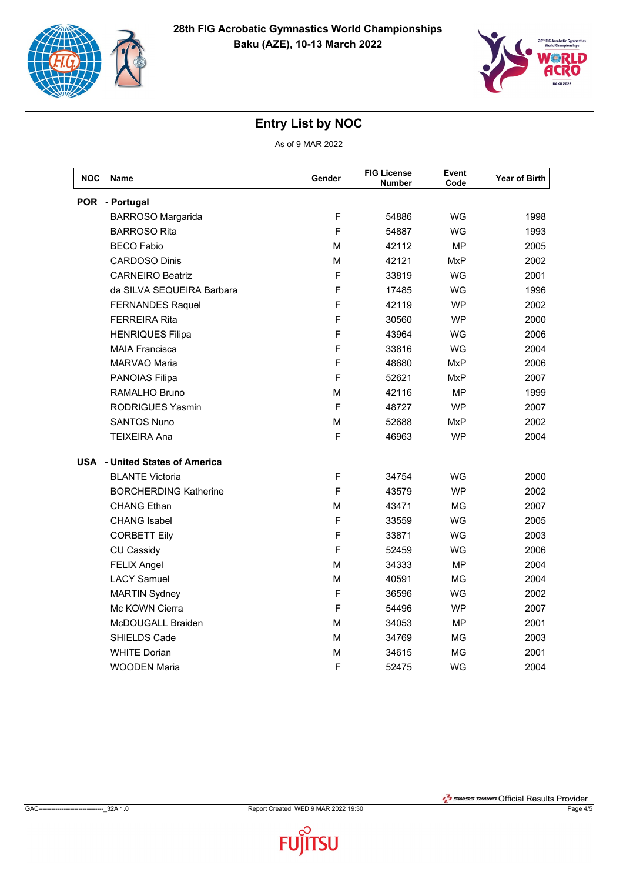



| NOC | Name                                  | Gender       | <b>FIG License</b><br><b>Number</b> | Event<br>Code | <b>Year of Birth</b> |
|-----|---------------------------------------|--------------|-------------------------------------|---------------|----------------------|
|     | POR - Portugal                        |              |                                     |               |                      |
|     | <b>BARROSO Margarida</b>              | F            | 54886                               | WG            | 1998                 |
|     | <b>BARROSO Rita</b>                   | F            | 54887                               | WG            | 1993                 |
|     | <b>BECO Fabio</b>                     | М            | 42112                               | <b>MP</b>     | 2005                 |
|     | <b>CARDOSO Dinis</b>                  | М            | 42121                               | MxP           | 2002                 |
|     | <b>CARNEIRO Beatriz</b>               | F            | 33819                               | WG            | 2001                 |
|     | da SILVA SEQUEIRA Barbara             | F            | 17485                               | WG            | 1996                 |
|     | <b>FERNANDES Raquel</b>               | F            | 42119                               | <b>WP</b>     | 2002                 |
|     | <b>FERREIRA Rita</b>                  | F            | 30560                               | <b>WP</b>     | 2000                 |
|     | <b>HENRIQUES Filipa</b>               | F            | 43964                               | WG            | 2006                 |
|     | <b>MAIA Francisca</b>                 | F            | 33816                               | <b>WG</b>     | 2004                 |
|     | MARVAO Maria                          | F            | 48680                               | MxP           | 2006                 |
|     | PANOIAS Filipa                        | F            | 52621                               | MxP           | 2007                 |
|     | RAMALHO Bruno                         | М            | 42116                               | MΡ            | 1999                 |
|     | <b>RODRIGUES Yasmin</b>               | F            | 48727                               | <b>WP</b>     | 2007                 |
|     | <b>SANTOS Nuno</b>                    | м            | 52688                               | MxP           | 2002                 |
|     | <b>TEIXEIRA Ana</b>                   | F            | 46963                               | <b>WP</b>     | 2004                 |
|     | <b>USA</b> - United States of America |              |                                     |               |                      |
|     | <b>BLANTE Victoria</b>                | F            | 34754                               | WG            | 2000                 |
|     | <b>BORCHERDING Katherine</b>          | F            | 43579                               | <b>WP</b>     | 2002                 |
|     | <b>CHANG Ethan</b>                    | М            | 43471                               | <b>MG</b>     | 2007                 |
|     | <b>CHANG</b> Isabel                   | F            | 33559                               | WG            | 2005                 |
|     | <b>CORBETT Eily</b>                   | $\mathsf{F}$ | 33871                               | WG            | 2003                 |
|     | <b>CU Cassidy</b>                     | F            | 52459                               | WG            | 2006                 |
|     | <b>FELIX Angel</b>                    | М            | 34333                               | <b>MP</b>     | 2004                 |
|     | <b>LACY Samuel</b>                    | м            | 40591                               | МG            | 2004                 |
|     | <b>MARTIN Sydney</b>                  | F            | 36596                               | WG            | 2002                 |
|     | Mc KOWN Cierra                        | F            | 54496                               | <b>WP</b>     | 2007                 |
|     | McDOUGALL Braiden                     | М            | 34053                               | MP            | 2001                 |
|     | SHIELDS Cade                          | М            | 34769                               | МG            | 2003                 |
|     | <b>WHITE Dorian</b>                   | м            | 34615                               | ΜG            | 2001                 |
|     | <b>WOODEN Maria</b>                   | F            | 52475                               | WG            | 2004                 |